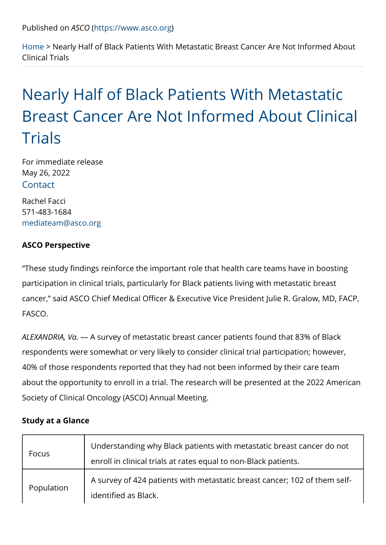Home Nearly Half of Black Patients With Metastatic Breast Cancer Clinical Tria[ls](https://www.asco.org)

# Nearly Half of Black Patients With [Breast Cancer Are Not Inform](https://www.asco.org/about-asco/press-center/news-releases/nearly-half-black-patients-metastatic-breast-cancer-are-not)ed A [Trials](https://www.asco.org/about-asco/press-center/news-releases/nearly-half-black-patients-metastatic-breast-cancer-are-not)

For immediate release [May 26,](https://www.asco.org/about-asco/press-center/news-releases/nearly-half-black-patients-metastatic-breast-cancer-are-not) 2022 Contact

Rachel Facci 571-483-1684 mediateam@asco.org

ASCO Perspective

These study findings reinforce the important role that health care participation in clinical trials, particularly for Black patients living cancer, said ASCO Chief Medical Officer & Executive Vice Preside FASCO.

ALEXANDRIAA, SVuarvey of metastatic breast cancer patients found tha respondents were somewhat or very likely to consider clinical trial 40% of those respondents reported that they had not been informed about the opportunity to enroll in a trial. The research will be pres Society of Clinical Oncology (ASCO) Annual Meeting.

Study at a Glance

| Focus      | Understanding why Black patients with metastatic breat<br>enroll in clinical trials at rates equal to non-Black pati |  |
|------------|----------------------------------------------------------------------------------------------------------------------|--|
| Population | A survey of 424 patients with metastatic breast dancer<br>identified as Black.                                       |  |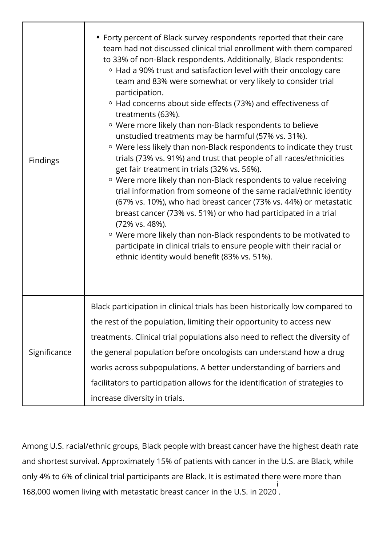| Findings     | • Forty percent of Black survey respondents reported that their care<br>team had not discussed clinical trial enrollment with them compared<br>to 33% of non-Black respondents. Additionally, Black respondents:<br><sup>o</sup> Had a 90% trust and satisfaction level with their oncology care<br>team and 83% were somewhat or very likely to consider trial<br>participation.<br>$\circ$ Had concerns about side effects (73%) and effectiveness of<br>treatments (63%).<br><sup>o</sup> Were more likely than non-Black respondents to believe<br>unstudied treatments may be harmful (57% vs. 31%).<br>○ Were less likely than non-Black respondents to indicate they trust<br>trials (73% vs. 91%) and trust that people of all races/ethnicities<br>get fair treatment in trials (32% vs. 56%).<br><sup>o</sup> Were more likely than non-Black respondents to value receiving<br>trial information from someone of the same racial/ethnic identity<br>(67% vs. 10%), who had breast cancer (73% vs. 44%) or metastatic<br>breast cancer (73% vs. 51%) or who had participated in a trial<br>(72% vs. 48%).<br>○ Were more likely than non-Black respondents to be motivated to<br>participate in clinical trials to ensure people with their racial or<br>ethnic identity would benefit (83% vs. 51%). |
|--------------|-----------------------------------------------------------------------------------------------------------------------------------------------------------------------------------------------------------------------------------------------------------------------------------------------------------------------------------------------------------------------------------------------------------------------------------------------------------------------------------------------------------------------------------------------------------------------------------------------------------------------------------------------------------------------------------------------------------------------------------------------------------------------------------------------------------------------------------------------------------------------------------------------------------------------------------------------------------------------------------------------------------------------------------------------------------------------------------------------------------------------------------------------------------------------------------------------------------------------------------------------------------------------------------------------------------------|
| Significance | Black participation in clinical trials has been historically low compared to<br>the rest of the population, limiting their opportunity to access new<br>treatments. Clinical trial populations also need to reflect the diversity of<br>the general population before oncologists can understand how a drug<br>works across subpopulations. A better understanding of barriers and<br>facilitators to participation allows for the identification of strategies to<br>increase diversity in trials.                                                                                                                                                                                                                                                                                                                                                                                                                                                                                                                                                                                                                                                                                                                                                                                                             |

Among U.S. racial/ethnic groups, Black people with breast cancer have the highest death rate and shortest survival. Approximately 15% of patients with cancer in the U.S. are Black, while only 4% to 6% of clinical trial participants are Black. It is estimated there were more than 168,000 women living with metastatic breast cancer in the U.S. in 2020 i .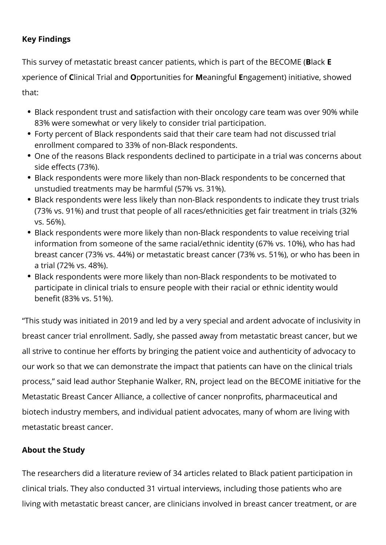### **Key Findings**

This survey of metastatic breast cancer patients, which is part of the BECOME (**B**lack **E** xperience of **C**linical Trial and **O**pportunities for **M**eaningful **E**ngagement) initiative, showed that:

- Black respondent trust and satisfaction with their oncology care team was over 90% while 83% were somewhat or very likely to consider trial participation.
- Forty percent of Black respondents said that their care team had not discussed trial enrollment compared to 33% of non-Black respondents.
- One of the reasons Black respondents declined to participate in a trial was concerns about side effects (73%).
- Black respondents were more likely than non-Black respondents to be concerned that unstudied treatments may be harmful (57% vs. 31%).
- Black respondents were less likely than non-Black respondents to indicate they trust trials (73% vs. 91%) and trust that people of all races/ethnicities get fair treatment in trials (32% vs. 56%).
- Black respondents were more likely than non-Black respondents to value receiving trial information from someone of the same racial/ethnic identity (67% vs. 10%), who has had breast cancer (73% vs. 44%) or metastatic breast cancer (73% vs. 51%), or who has been in a trial (72% vs. 48%).
- Black respondents were more likely than non-Black respondents to be motivated to participate in clinical trials to ensure people with their racial or ethnic identity would benefit (83% vs. 51%).

"This study was initiated in 2019 and led by a very special and ardent advocate of inclusivity in breast cancer trial enrollment. Sadly, she passed away from metastatic breast cancer, but we all strive to continue her efforts by bringing the patient voice and authenticity of advocacy to our work so that we can demonstrate the impact that patients can have on the clinical trials process," said lead author Stephanie Walker, RN, project lead on the BECOME initiative for the Metastatic Breast Cancer Alliance, a collective of cancer nonprofits, pharmaceutical and biotech industry members, and individual patient advocates, many of whom are living with metastatic breast cancer.

## **About the Study**

The researchers did a literature review of 34 articles related to Black patient participation in clinical trials. They also conducted 31 virtual interviews, including those patients who are living with metastatic breast cancer, are clinicians involved in breast cancer treatment, or are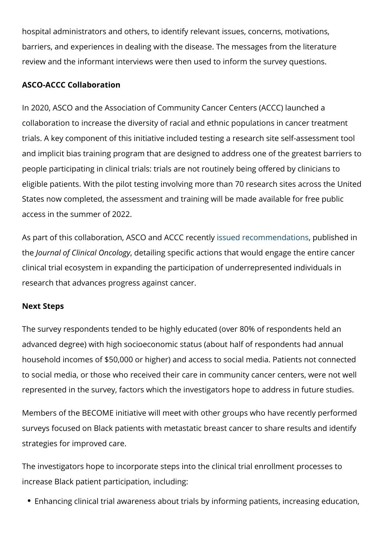hospital administrators and others, to identify relevant issues, concerns, motivations, barriers, and experiences in dealing with the disease. The message review and the informant interviews were then used to inform the sur

#### ASCO-ACCC Collaboration

In 2020, ASCO and the Association of Community Cancer Centers (*A* collaboration to increase the diversity of racial and ethnic populati trials. A key component of this initiative included testing a researc and implicit bias training program that are designed to address one people participating in clinical trials: trials are not routinely being eligible patients. With the pilot testing involving more than 70 rese States now completed, the assessment and training will be made av access in the summer of 2022.

As part of this collaboration, ASCO issued AIC C commence **n**, dley tuilo lnished in the Journal of Clinical detailing yspecific actions that would engage the clinical trial ecosystem in expandi[ng the participati](https://ascopubs.org/doi/abs/10.1200/JCO.22.00754)on of underrepr research that advances progress against cancer.

#### Next Steps

The survey respondents tended to be highly educated (over 80% of advanced degree) with high socioeconomic status (about half of res household incomes of \$50,000 or higher) and access to social medi to social media, or those who received their care in community can represented in the survey, factors which the investigators hope to a

Members of the BECOME initiative will meet with other groups who surveys focused on Black patients with metastatic breast cancer to strategies for improved care.

The investigators hope to incorporate steps into the clinical trial e increase Black patient participation, including:

• Enhancing clinical trial awareness about trials by informing patie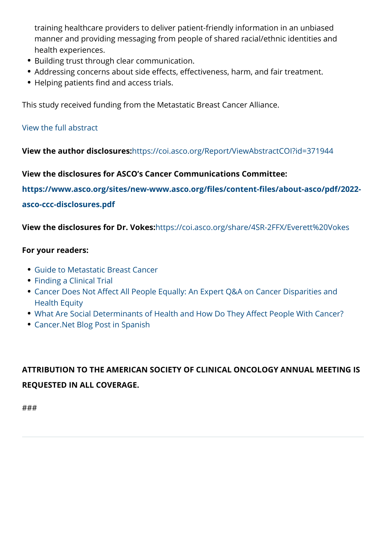- manner and providing messaging from people of shared racial/eth health experiences.
- Building trust through clear communication.
- Addressing concerns about side effects, effectiveness, harm, and Helping patients find and access trials.

This study received funding from the Metastatic Breast Cancer Allia

#### View the full abstract

[View the auth](https://meetinglibrary.asco.org/record/208058/abstract)or disclosures: https://coi.asco.org/Report/ViewAbstractCOI?id=371944

View the disclosures for ASCO s Cancer Communications Committee: https://www.asco.or[g/sites/new-www.asco.org/files/conte](https://coi.asco.org/Report/ViewAbstractCOI?id=371944)nt-files/ab asco-ccc-disclosures.pdf

[View the disclosu](https://www.asco.org/sites/new-www.asco.org/files/content-files/about-asco/pdf/2022-asco-ccc-disclosures.pdf)res forhDtrpsV/okes:asco.org/share/4SR-2FFX/Everet

For your readers:

- Guide to Metastatic Breast Cancer
- Finding a Clinical Trial
- Cancer Does Not Affect All People Equally: An Expert Q&A on Ca [Health Equity](https://www.cancer.net/cancer-types/breast-cancer-metastatic)
- . [What Are Soci](https://www.cancer.net/research-and-advocacy/clinical-trials/finding-clinical-trial)al Determinants of Health and How Do They Affect
- [Cancer.Net Blog Post in Spanish](https://www.cancer.net/blog/2020-06/cancer-does-not-affect-all-people-equally-expert-qa-cancer-disparities-and-health-equity)

ATTRIBUTION TO THE AMERICAN SOCIETY OF CLINICAL ONCOLOG REQUESTED IN ALL COVERAGE.

###